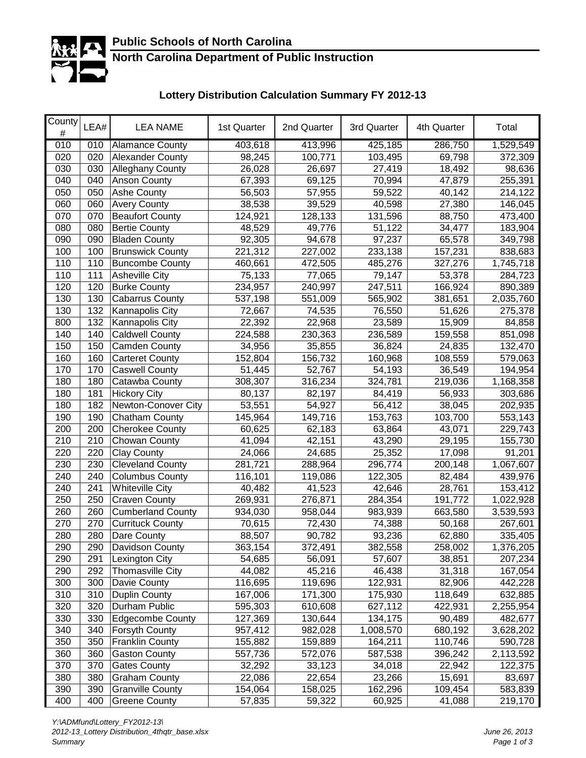

## **North Carolina Department of Public Instruction**

# **Lottery Distribution Calculation Summary FY 2012-13**

| County<br># | LEA# | <b>LEA NAME</b>          | 1st Quarter | 2nd Quarter | 3rd Quarter | 4th Quarter | Total     |
|-------------|------|--------------------------|-------------|-------------|-------------|-------------|-----------|
| 010         | 010  | <b>Alamance County</b>   | 403,618     | 413,996     | 425,185     | 286,750     | 1,529,549 |
| 020         | 020  | <b>Alexander County</b>  | 98,245      | 100,771     | 103,495     | 69,798      | 372,309   |
| 030         | 030  | <b>Alleghany County</b>  | 26,028      | 26,697      | 27,419      | 18,492      | 98,636    |
| 040         | 040  | Anson County             | 67,393      | 69,125      | 70,994      | 47,879      | 255,391   |
| 050         | 050  | Ashe County              | 56,503      | 57,955      | 59,522      | 40,142      | 214,122   |
| 060         | 060  | <b>Avery County</b>      | 38,538      | 39,529      | 40,598      | 27,380      | 146,045   |
| 070         | 070  | <b>Beaufort County</b>   | 124,921     | 128,133     | 131,596     | 88,750      | 473,400   |
| 080         | 080  | <b>Bertie County</b>     | 48,529      | 49,776      | 51,122      | 34,477      | 183,904   |
| 090         | 090  | <b>Bladen County</b>     | 92,305      | 94,678      | 97,237      | 65,578      | 349,798   |
| 100         | 100  | <b>Brunswick County</b>  | 221,312     | 227,002     | 233,138     | 157,231     | 838,683   |
| 110         | 110  | <b>Buncombe County</b>   | 460,661     | 472,505     | 485,276     | 327,276     | 1,745,718 |
| 110         | 111  | <b>Asheville City</b>    | 75,133      | 77,065      | 79,147      | 53,378      | 284,723   |
| 120         | 120  | <b>Burke County</b>      | 234,957     | 240,997     | 247,511     | 166,924     | 890,389   |
| 130         | 130  | <b>Cabarrus County</b>   | 537,198     | 551,009     | 565,902     | 381,651     | 2,035,760 |
| 130         | 132  | Kannapolis City          | 72,667      | 74,535      | 76,550      | 51,626      | 275,378   |
| 800         | 132  | Kannapolis City          | 22,392      | 22,968      | 23,589      | 15,909      | 84,858    |
| 140         | 140  | <b>Caldwell County</b>   | 224,588     | 230,363     | 236,589     | 159,558     | 851,098   |
| 150         | 150  | Camden County            | 34,956      | 35,855      | 36,824      | 24,835      | 132,470   |
| 160         | 160  | Carteret County          | 152,804     | 156,732     | 160,968     | 108,559     | 579,063   |
| 170         | 170  | <b>Caswell County</b>    | 51,445      | 52,767      | 54,193      | 36,549      | 194,954   |
| 180         | 180  | Catawba County           | 308,307     | 316,234     | 324,781     | 219,036     | 1,168,358 |
| 180         | 181  | <b>Hickory City</b>      | 80,137      | 82,197      | 84,419      | 56,933      | 303,686   |
| 180         | 182  | Newton-Conover City      | 53,551      | 54,927      | 56,412      | 38,045      | 202,935   |
| 190         | 190  | <b>Chatham County</b>    | 145,964     | 149,716     | 153,763     | 103,700     | 553,143   |
| 200         | 200  | <b>Cherokee County</b>   | 60,625      | 62,183      | 63,864      | 43,071      | 229,743   |
| 210         | 210  | Chowan County            | 41,094      | 42,151      | 43,290      | 29,195      | 155,730   |
| 220         | 220  | <b>Clay County</b>       | 24,066      | 24,685      | 25,352      | 17,098      | 91,201    |
| 230         | 230  | <b>Cleveland County</b>  | 281,721     | 288,964     | 296,774     | 200,148     | 1,067,607 |
| 240         | 240  | <b>Columbus County</b>   | 116,101     | 119,086     | 122,305     | 82,484      | 439,976   |
| 240         | 241  | <b>Whiteville City</b>   | 40,482      | 41,523      | 42,646      | 28,761      | 153,412   |
| 250         | 250  | <b>Craven County</b>     | 269,931     | 276,871     | 284,354     | 191,772     | 1,022,928 |
| 260         | 260  | <b>Cumberland County</b> | 934,030     | 958,044     | 983,939     | 663,580     | 3,539,593 |
| 270         | 270  | <b>Currituck County</b>  | 70,615      | 72,430      | 74,388      | 50,168      | 267,601   |
| 280         | 280  | Dare County              | 88,507      | 90,782      | 93,236      | 62,880      | 335,405   |
| 290         | 290  | <b>Davidson County</b>   | 363,154     | 372,491     | 382,558     | 258,002     | 1,376,205 |
| 290         | 291  | Lexington City           | 54,685      | 56,091      | 57,607      | 38,851      | 207,234   |
| 290         | 292  | <b>Thomasville City</b>  | 44,082      | 45,216      | 46,438      | 31,318      | 167,054   |
| 300         | 300  | Davie County             | 116,695     | 119,696     | 122,931     | 82,906      | 442,228   |
| 310         | 310  | <b>Duplin County</b>     | 167,006     | 171,300     | 175,930     | 118,649     | 632,885   |
| 320         | 320  | Durham Public            | 595,303     | 610,608     | 627,112     | 422,931     | 2,255,954 |
| 330         | 330  | <b>Edgecombe County</b>  | 127,369     | 130,644     | 134,175     | 90,489      | 482,677   |
| 340         | 340  | Forsyth County           | 957,412     | 982,028     | 1,008,570   | 680,192     | 3,628,202 |
| 350         | 350  | <b>Franklin County</b>   | 155,882     | 159,889     | 164,211     | 110,746     | 590,728   |
| 360         | 360  | <b>Gaston County</b>     | 557,736     | 572,076     | 587,538     | 396,242     | 2,113,592 |
| 370         | 370  | <b>Gates County</b>      | 32,292      | 33,123      | 34,018      | 22,942      | 122,375   |
| 380         | 380  | <b>Graham County</b>     | 22,086      | 22,654      | 23,266      | 15,691      | 83,697    |
| 390         | 390  | <b>Granville County</b>  | 154,064     | 158,025     | 162,296     | 109,454     | 583,839   |
| 400         | 400  | <b>Greene County</b>     | 57,835      | 59,322      | 60,925      | 41,088      | 219,170   |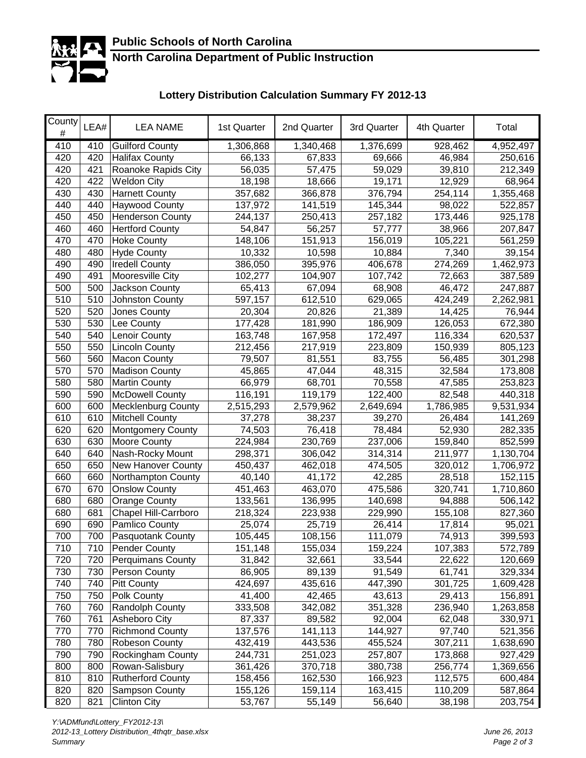

## **North Carolina Department of Public Instruction**

# **Lottery Distribution Calculation Summary FY 2012-13**

| County<br># | LEA# | <b>LEA NAME</b>           | 1st Quarter | 2nd Quarter | 3rd Quarter | 4th Quarter | Total     |
|-------------|------|---------------------------|-------------|-------------|-------------|-------------|-----------|
| 410         | 410  | <b>Guilford County</b>    | 1,306,868   | 1,340,468   | 1,376,699   | 928,462     | 4,952,497 |
| 420         | 420  | <b>Halifax County</b>     | 66,133      | 67,833      | 69,666      | 46,984      | 250,616   |
| 420         | 421  | Roanoke Rapids City       | 56,035      | 57,475      | 59,029      | 39,810      | 212,349   |
| 420         | 422  | <b>Weldon City</b>        | 18,198      | 18,666      | 19,171      | 12,929      | 68,964    |
| 430         | 430  | <b>Harnett County</b>     | 357,682     | 366,878     | 376,794     | 254,114     | 1,355,468 |
| 440         | 440  | <b>Haywood County</b>     | 137,972     | 141,519     | 145,344     | 98,022      | 522,857   |
| 450         | 450  | <b>Henderson County</b>   | 244,137     | 250,413     | 257,182     | 173,446     | 925,178   |
| 460         | 460  | <b>Hertford County</b>    | 54,847      | 56,257      | 57,777      | 38,966      | 207,847   |
| 470         | 470  | <b>Hoke County</b>        | 148,106     | 151,913     | 156,019     | 105,221     | 561,259   |
| 480         | 480  | <b>Hyde County</b>        | 10,332      | 10,598      | 10,884      | 7,340       | 39,154    |
| 490         | 490  | <b>Iredell County</b>     | 386,050     | 395,976     | 406,678     | 274,269     | 1,462,973 |
| 490         | 491  | Mooresville City          | 102,277     | 104,907     | 107,742     | 72,663      | 387,589   |
| 500         | 500  | Jackson County            | 65,413      | 67,094      | 68,908      | 46,472      | 247,887   |
| 510         | 510  | Johnston County           | 597,157     | 612,510     | 629,065     | 424,249     | 2,262,981 |
| 520         | 520  | Jones County              | 20,304      | 20,826      | 21,389      | 14,425      | 76,944    |
| 530         | 530  | Lee County                | 177,428     | 181,990     | 186,909     | 126,053     | 672,380   |
| 540         | 540  | Lenoir County             | 163,748     | 167,958     | 172,497     | 116,334     | 620,537   |
| 550         | 550  | Lincoln County            | 212,456     | 217,919     | 223,809     | 150,939     | 805,123   |
| 560         | 560  | <b>Macon County</b>       | 79,507      | 81,551      | 83,755      | 56,485      | 301,298   |
| 570         | 570  | <b>Madison County</b>     | 45,865      | 47,044      | 48,315      | 32,584      | 173,808   |
| 580         | 580  | <b>Martin County</b>      | 66,979      | 68,701      | 70,558      | 47,585      | 253,823   |
| 590         | 590  | <b>McDowell County</b>    | 116,191     | 119,179     | 122,400     | 82,548      | 440,318   |
| 600         | 600  | <b>Mecklenburg County</b> | 2,515,293   | 2,579,962   | 2,649,694   | 1,786,985   | 9,531,934 |
| 610         | 610  | <b>Mitchell County</b>    | 37,278      | 38,237      | 39,270      | 26,484      | 141,269   |
| 620         | 620  | <b>Montgomery County</b>  | 74,503      | 76,418      | 78,484      | 52,930      | 282,335   |
| 630         | 630  | Moore County              | 224,984     | 230,769     | 237,006     | 159,840     | 852,599   |
| 640         | 640  | Nash-Rocky Mount          | 298,371     | 306,042     | 314,314     | 211,977     | 1,130,704 |
| 650         | 650  | New Hanover County        | 450,437     | 462,018     | 474,505     | 320,012     | 1,706,972 |
| 660         | 660  | Northampton County        | 40,140      | 41,172      | 42,285      | 28,518      | 152,115   |
| 670         | 670  | <b>Onslow County</b>      | 451,463     | 463,070     | 475,586     | 320,741     | 1,710,860 |
| 680         | 680  | <b>Orange County</b>      | 133,561     | 136,995     | 140,698     | 94,888      | 506,142   |
| 680         | 681  | Chapel Hill-Carrboro      | 218,324     | 223,938     | 229,990     | 155,108     | 827,360   |
| 690         | 690  | Pamlico County            | 25,074      | 25,719      | 26,414      | 17,814      | 95,021    |
| 700         | 700  | Pasquotank County         | 105,445     | 108,156     | 111,079     | 74,913      | 399,593   |
| 710         | 710  | <b>Pender County</b>      | 151,148     | 155,034     | 159,224     | 107,383     | 572,789   |
| 720         | 720  | <b>Perquimans County</b>  | 31,842      | 32,661      | 33,544      | 22,622      | 120,669   |
| 730         | 730  | Person County             | 86,905      | 89,139      | 91,549      | 61,741      | 329,334   |
| 740         | 740  | <b>Pitt County</b>        | 424,697     | 435,616     | 447,390     | 301,725     | 1,609,428 |
| 750         | 750  | Polk County               | 41,400      | 42,465      | 43,613      | 29,413      | 156,891   |
| 760         | 760  | Randolph County           | 333,508     | 342,082     | 351,328     | 236,940     | 1,263,858 |
| 760         | 761  | Asheboro City             | 87,337      | 89,582      | 92,004      | 62,048      | 330,971   |
| 770         | 770  | <b>Richmond County</b>    | 137,576     | 141,113     | 144,927     | 97,740      | 521,356   |
| 780         | 780  | Robeson County            | 432,419     | 443,536     | 455,524     | 307,211     | 1,638,690 |
| 790         | 790  | <b>Rockingham County</b>  | 244,731     | 251,023     | 257,807     | 173,868     | 927,429   |
| 800         | 800  | Rowan-Salisbury           | 361,426     | 370,718     | 380,738     | 256,774     | 1,369,656 |
| 810         | 810  | <b>Rutherford County</b>  | 158,456     | 162,530     | 166,923     | 112,575     | 600,484   |
| 820         | 820  | Sampson County            | 155,126     | 159,114     | 163,415     | 110,209     | 587,864   |
| 820         | 821  | <b>Clinton City</b>       | 53,767      | 55,149      | 56,640      | 38,198      | 203,754   |